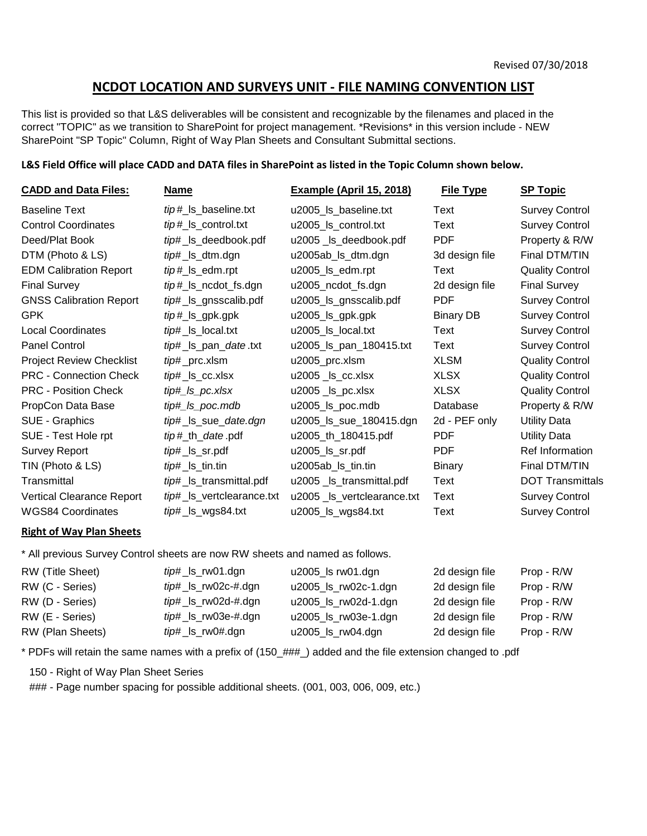# NCDOT LOCATION AND SURVEYS UNIT - FILE NAMING CONVENTION LIST

This list is provided so that L&S deliverables will be consistent and recognizable by the filenames and placed in the correct "TOPIC" as we transition to SharePoint for project management. \*Revisions\* in this version include - NEW SharePoint "SP Topic" Column, Right of Way Plan Sheets and Consultant Submittal sections.

#### L&S Field Office will place CADD and DATA files in SharePoint as listed in the Topic Column shown below.

| <b>CADD and Data Files:</b>      | <b>Name</b>               | <b>Example (April 15, 2018)</b> | <b>File Type</b> | <b>SP Topic</b>         |
|----------------------------------|---------------------------|---------------------------------|------------------|-------------------------|
| <b>Baseline Text</b>             | tip#_ls_baseline.txt      | u2005_ls_baseline.txt           | Text             | <b>Survey Control</b>   |
| <b>Control Coordinates</b>       | tip#_ls_control.txt       | u2005_ls_control.txt            | Text             | <b>Survey Control</b>   |
| Deed/Plat Book                   | tip#_ls_deedbook.pdf      | u2005_ls_deedbook.pdf           | <b>PDF</b>       | Property & R/W          |
| DTM (Photo & LS)                 | tip#_ls_dtm.dgn           | u2005ab_ls_dtm.dgn              | 3d design file   | Final DTM/TIN           |
| <b>EDM Calibration Report</b>    | tip#_ls_edm.rpt           | u2005_ls_edm.rpt                | Text             | <b>Quality Control</b>  |
| <b>Final Survey</b>              | tip#_ls_ncdot_fs.dgn      | u2005_ncdot_fs.dgn              | 2d design file   | <b>Final Survey</b>     |
| <b>GNSS Calibration Report</b>   | tip#_ls_gnsscalib.pdf     | u2005_ls_gnsscalib.pdf          | <b>PDF</b>       | <b>Survey Control</b>   |
| <b>GPK</b>                       | $tip \#$ _ $ls$ _gpk.gpk  | u2005_ls_gpk.gpk                | <b>Binary DB</b> | <b>Survey Control</b>   |
| <b>Local Coordinates</b>         | tip#_ls_local.txt         | u2005_ls_local.txt              | Text             | <b>Survey Control</b>   |
| <b>Panel Control</b>             | tip#_ls_pan_date.txt      | u2005_ls_pan_180415.txt         | Text             | <b>Survey Control</b>   |
| <b>Project Review Checklist</b>  | tip#_prc.xlsm             | u2005_prc.xlsm                  | <b>XLSM</b>      | <b>Quality Control</b>  |
| <b>PRC - Connection Check</b>    | tip#_ls_cc.xlsx           | $u2005$ $\_\$ {ls}\_cc.xlsx     | <b>XLSX</b>      | <b>Quality Control</b>  |
| <b>PRC - Position Check</b>      | tip#_ls_pc.xlsx           | u2005_ls_pc.xlsx                | <b>XLSX</b>      | <b>Quality Control</b>  |
| PropCon Data Base                | tip#_ls_poc.mdb           | u2005_ls_poc.mdb                | Database         | Property & R/W          |
| SUE - Graphics                   | tip#_ls_sue_date.dgn      | u2005_ls_sue_180415.dgn         | 2d - PEF only    | <b>Utility Data</b>     |
| SUE - Test Hole rpt              | tip#_th_date.pdf          | u2005_th_180415.pdf             | <b>PDF</b>       | <b>Utility Data</b>     |
| <b>Survey Report</b>             | <i>tip</i> #_ls_sr.pdf    | u2005_ls_sr.pdf                 | <b>PDF</b>       | <b>Ref Information</b>  |
| TIN (Photo & LS)                 | tip#_ls_tin.tin           | u2005ab_ls_tin.tin              | <b>Binary</b>    | Final DTM/TIN           |
| Transmittal                      | tip#_ls_transmittal.pdf   | u2005 _ls_transmittal.pdf       | Text             | <b>DOT Transmittals</b> |
| <b>Vertical Clearance Report</b> | tip#_ls_vertclearance.txt | u2005 _ls_vertclearance.txt     | Text             | <b>Survey Control</b>   |
| <b>WGS84 Coordinates</b>         | tip#_ls_wgs84.txt         | u2005_ls_wgs84.txt              | Text             | <b>Survey Control</b>   |

#### Right of Way Plan Sheets

\* All previous Survey Control sheets are now RW sheets and named as follows.

| RW (Title Sheet) | tip#_ls_rw01.dgn    | u2005_ls rw01.dgn    | 2d design file | Prop - R/W |
|------------------|---------------------|----------------------|----------------|------------|
| RW (C - Series)  | tip#_ls_rw02c-#.dgn | u2005_ls_rw02c-1.dgn | 2d design file | Prop - R/W |
| RW (D - Series)  | tip#_ls_rw02d-#.dgn | u2005_ls_rw02d-1.dgn | 2d design file | Prop - R/W |
| RW (E - Series)  | tip#_ls_rw03e-#.dgn | u2005_ls_rw03e-1.dgn | 2d design file | Prop - R/W |
| RW (Plan Sheets) | tip#_ls_rw0#.dgn    | u2005_ls_rw04.dgn    | 2d design file | Prop - R/W |

\* PDFs will retain the same names with a prefix of (150\_###\_) added and the file extension changed to .pdf

150 - Right of Way Plan Sheet Series

### - Page number spacing for possible additional sheets. (001, 003, 006, 009, etc.)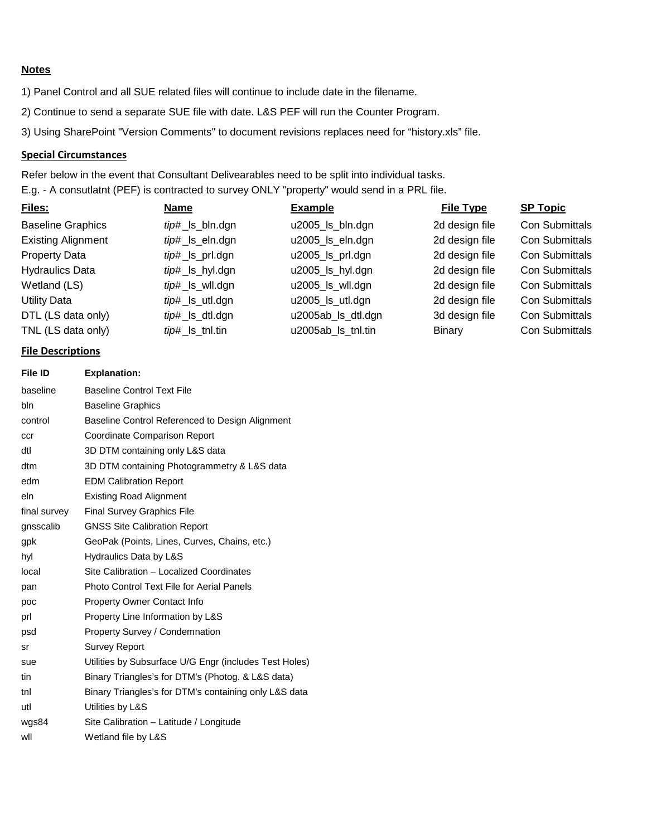# **Notes**

1) Panel Control and all SUE related files will continue to include date in the filename.

2) Continue to send a separate SUE file with date. L&S PEF will run the Counter Program.

3) Using SharePoint "Version Comments" to document revisions replaces need for "history.xls" file.

#### Special Circumstances

E.g. - A consutlatnt (PEF) is contracted to survey ONLY "property" would send in a PRL file. Refer below in the event that Consultant Delivearables need to be split into individual tasks.

| Files:                    | Name            | <b>Example</b>     | <b>File Type</b> | <b>SP Topic</b>       |
|---------------------------|-----------------|--------------------|------------------|-----------------------|
| <b>Baseline Graphics</b>  | tip#_ls_bln.dgn | u2005_ls_bln.dgn   | 2d design file   | <b>Con Submittals</b> |
| <b>Existing Alignment</b> | tip#_ls_eln.dgn | u2005_ls_eln.dgn   | 2d design file   | <b>Con Submittals</b> |
| <b>Property Data</b>      | tip#_ls_prl.dgn | u2005_ls_prl.dgn   | 2d design file   | <b>Con Submittals</b> |
| <b>Hydraulics Data</b>    | tip#_ls_hyl.dgn | u2005_ls_hyl.dgn   | 2d design file   | <b>Con Submittals</b> |
| Wetland (LS)              | tip#_ls_wll.dgn | u2005_ls_wll.dgn   | 2d design file   | <b>Con Submittals</b> |
| <b>Utility Data</b>       | tip#_ls_utl.dgn | u2005_ls_utl.dgn   | 2d design file   | <b>Con Submittals</b> |
| DTL (LS data only)        | tip#_ls_dtl.dgn | u2005ab_ls_dtl.dgn | 3d design file   | <b>Con Submittals</b> |
| TNL (LS data only)        | tip#_ls_tnl.tin | u2005ab Is tnl.tin | Binary           | Con Submittals        |

#### File Descriptions

| File ID      | <b>Explanation:</b>                                    |
|--------------|--------------------------------------------------------|
| baseline     | <b>Baseline Control Text File</b>                      |
| bln          | <b>Baseline Graphics</b>                               |
| control      | Baseline Control Referenced to Design Alignment        |
| ccr          | Coordinate Comparison Report                           |
| dtl          | 3D DTM containing only L&S data                        |
| dtm          | 3D DTM containing Photogrammetry & L&S data            |
| edm          | <b>EDM Calibration Report</b>                          |
| eln          | <b>Existing Road Alignment</b>                         |
| final survev | Final Survey Graphics File                             |
| gnsscalib    | <b>GNSS Site Calibration Report</b>                    |
| gpk          | GeoPak (Points, Lines, Curves, Chains, etc.)           |
| hyl          | Hydraulics Data by L&S                                 |
| local        | Site Calibration - Localized Coordinates               |
| pan          | Photo Control Text File for Aerial Panels              |
| poc          | <b>Property Owner Contact Info</b>                     |
| prl          | Property Line Information by L&S                       |
| psd          | <b>Property Survey / Condemnation</b>                  |
| sr           | <b>Survey Report</b>                                   |
| sue          | Utilities by Subsurface U/G Engr (includes Test Holes) |
| tin          | Binary Triangles's for DTM's (Photog. & L&S data)      |
| tnl          | Binary Triangles's for DTM's containing only L&S data  |
| utl          | Utilities by L&S                                       |
| wgs84        | Site Calibration - Latitude / Longitude                |
| wll          | Wetland file by L&S                                    |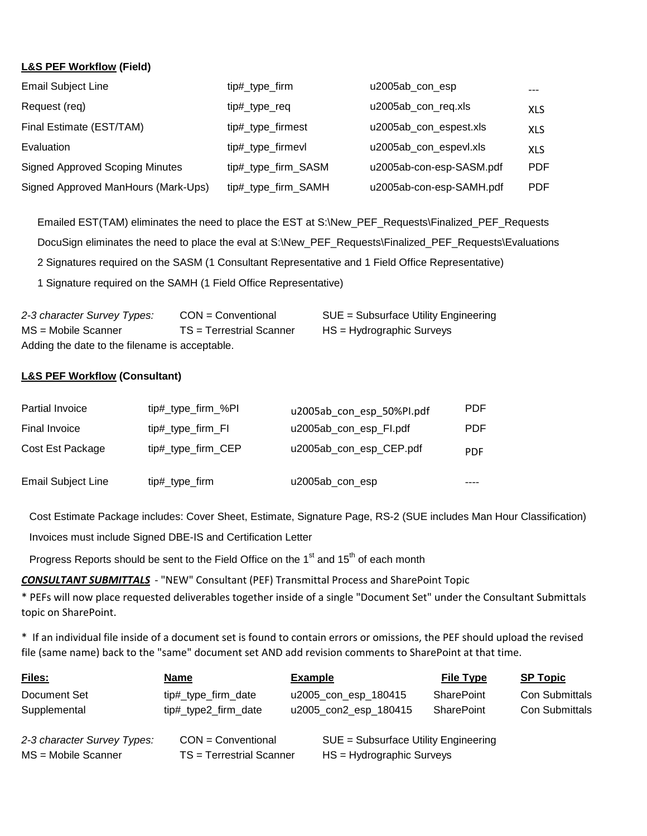# **L&S PEF Workflow (Field)**

| <b>Email Subject Line</b>              | tip#_type_firm      | u2005ab con esp          |            |
|----------------------------------------|---------------------|--------------------------|------------|
| Request (req)                          | tip#_type_req       | u2005ab_con_req.xls      | <b>XLS</b> |
| Final Estimate (EST/TAM)               | tip#_type_firmest   | u2005ab_con_espest.xls   | <b>XLS</b> |
| Evaluation                             | tip#_type_firmevl   | u2005ab_con_espevl.xls   | <b>XLS</b> |
| <b>Signed Approved Scoping Minutes</b> | tip#_type_firm_SASM | u2005ab-con-esp-SASM.pdf | <b>PDF</b> |
| Signed Approved ManHours (Mark-Ups)    | tip#_type_firm_SAMH | u2005ab-con-esp-SAMH.pdf | <b>PDF</b> |

Emailed EST(TAM) eliminates the need to place the EST at S:\New\_PEF\_Requests\Finalized\_PEF\_Requests DocuSign eliminates the need to place the eval at S:\New\_PEF\_Requests\Finalized\_PEF\_Requests\Evaluations 2 Signatures required on the SASM (1 Consultant Representative and 1 Field Office Representative) 1 Signature required on the SAMH (1 Field Office Representative)

| 2-3 character Survey Types:                    | $CON = Conventional$     | SUE = Subsurface Utility Engineering |  |  |  |
|------------------------------------------------|--------------------------|--------------------------------------|--|--|--|
| MS = Mobile Scanner                            | TS = Terrestrial Scanner | HS = Hydrographic Surveys            |  |  |  |
| Adding the date to the filename is acceptable. |                          |                                      |  |  |  |

## **L&S PEF Workflow (Consultant)**

| Partial Invoice           | tip#_type_firm_%PI | u2005ab con esp 50%PI.pdf | <b>PDF</b> |
|---------------------------|--------------------|---------------------------|------------|
| Final Invoice             | tip#_type_firm_FI  | u2005ab_con_esp_Fl.pdf    | <b>PDF</b> |
| Cost Est Package          | tip#_type_firm_CEP | u2005ab_con_esp_CEP.pdf   | <b>PDF</b> |
| <b>Email Subject Line</b> | tip#_type_firm     | u2005ab_con_esp           |            |

Cost Estimate Package includes: Cover Sheet, Estimate, Signature Page, RS-2 (SUE includes Man Hour Classification) Invoices must include Signed DBE-IS and Certification Letter

Progress Reports should be sent to the Field Office on the  $1<sup>st</sup>$  and  $15<sup>th</sup>$  of each month

**CONSULTANT SUBMITTALS** - "NEW" Consultant (PEF) Transmittal Process and SharePoint Topic

\* PEFs will now place requested deliverables together inside of a single "Document Set" under the Consultant Submittals topic on SharePoint.

\* If an individual file inside of a document set is found to contain errors or omissions, the PEF should upload the revised file (same name) back to the "same" document set AND add revision comments to SharePoint at that time.

| Files:                                             | Name                                             | <b>Example</b>                                                      | <b>File Type</b>  | <b>SP Topic</b>       |
|----------------------------------------------------|--------------------------------------------------|---------------------------------------------------------------------|-------------------|-----------------------|
| Document Set                                       | tip#_type_firm_date                              | u2005_con_esp_180415                                                | <b>SharePoint</b> | <b>Con Submittals</b> |
| Supplemental                                       | tip#_type2_firm_date                             | u2005_con2_esp_180415                                               | SharePoint        | <b>Con Submittals</b> |
| 2-3 character Survey Types:<br>MS = Mobile Scanner | $CON = Conventional$<br>TS = Terrestrial Scanner | SUE = Subsurface Utility Engineering<br>$HS = Hydrographic Surveys$ |                   |                       |